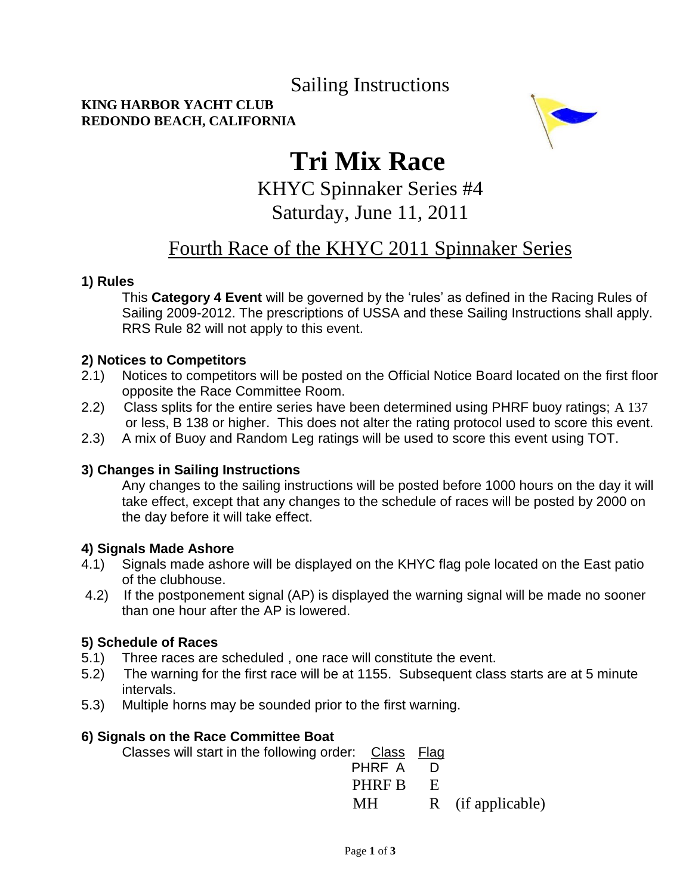### Sailing Instructions

#### **KING HARBOR YACHT CLUB REDONDO BEACH, CALIFORNIA**



# **Tri Mix Race**

KHYC Spinnaker Series #4

### Saturday, June 11, 2011

### Fourth Race of the KHYC 2011 Spinnaker Series

#### **1) Rules**

This **Category 4 Event** will be governed by the "rules" as defined in the Racing Rules of Sailing 2009-2012. The prescriptions of USSA and these Sailing Instructions shall apply. RRS Rule 82 will not apply to this event.

#### **2) Notices to Competitors**

- 2.1) Notices to competitors will be posted on the Official Notice Board located on the first floor opposite the Race Committee Room.
- 2.2) Class splits for the entire series have been determined using PHRF buoy ratings; A 137 or less, B 138 or higher. This does not alter the rating protocol used to score this event.
- 2.3) A mix of Buoy and Random Leg ratings will be used to score this event using TOT.

#### **3) Changes in Sailing Instructions**

Any changes to the sailing instructions will be posted before 1000 hours on the day it will take effect, except that any changes to the schedule of races will be posted by 2000 on the day before it will take effect.

#### **4) Signals Made Ashore**

- 4.1) Signals made ashore will be displayed on the KHYC flag pole located on the East patio of the clubhouse.
- 4.2) If the postponement signal (AP) is displayed the warning signal will be made no sooner than one hour after the AP is lowered.

#### **5) Schedule of Races**

- 5.1) Three races are scheduled , one race will constitute the event.
- 5.2) The warning for the first race will be at 1155. Subsequent class starts are at 5 minute intervals.
- 5.3) Multiple horns may be sounded prior to the first warning.

#### **6) Signals on the Race Committee Boat**

Classes will start in the following order: Class Flag PHRF A D **PHRF B** E MH R(if applicable)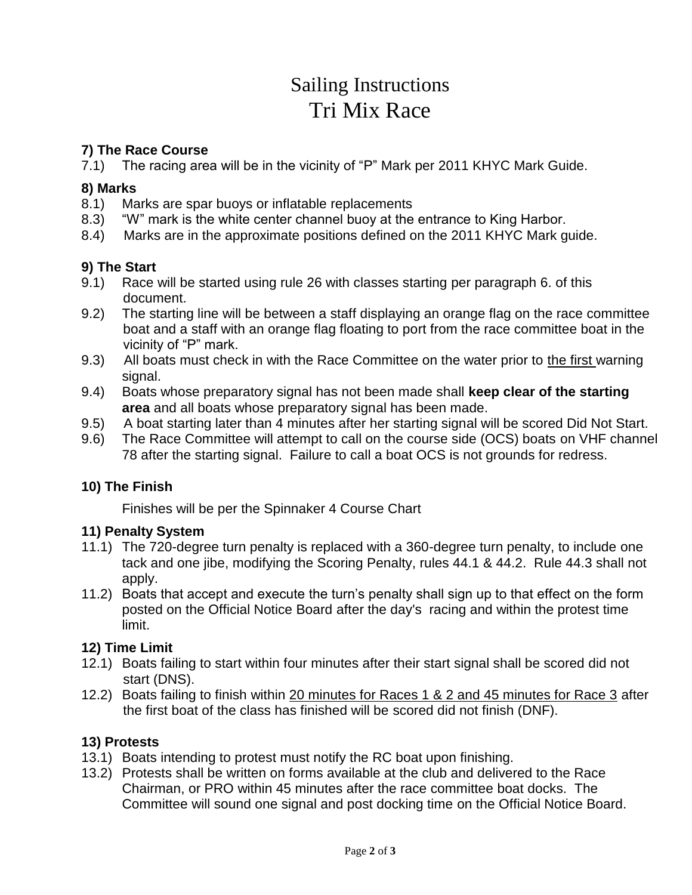# Sailing Instructions Tri Mix Race

#### **7) The Race Course**

7.1) The racing area will be in the vicinity of "P" Mark per 2011 KHYC Mark Guide.

#### **8) Marks**

- 8.1) Marks are spar buoys or inflatable replacements
- 8.3) "W" mark is the white center channel buoy at the entrance to King Harbor.
- 8.4) Marks are in the approximate positions defined on the 2011 KHYC Mark guide.

#### **9) The Start**

- 9.1) Race will be started using rule 26 with classes starting per paragraph 6. of this document.
- 9.2) The starting line will be between a staff displaying an orange flag on the race committee boat and a staff with an orange flag floating to port from the race committee boat in the vicinity of "P" mark.
- 9.3) All boats must check in with the Race Committee on the water prior to the first warning signal.
- 9.4) Boats whose preparatory signal has not been made shall **keep clear of the starting area** and all boats whose preparatory signal has been made.
- 9.5) A boat starting later than 4 minutes after her starting signal will be scored Did Not Start.
- 9.6) The Race Committee will attempt to call on the course side (OCS) boats on VHF channel 78 after the starting signal. Failure to call a boat OCS is not grounds for redress.

#### **10) The Finish**

Finishes will be per the Spinnaker 4 Course Chart

#### **11) Penalty System**

- 11.1) The 720-degree turn penalty is replaced with a 360-degree turn penalty, to include one tack and one jibe, modifying the Scoring Penalty, rules 44.1 & 44.2. Rule 44.3 shall not apply.
- 11.2) Boats that accept and execute the turn"s penalty shall sign up to that effect on the form posted on the Official Notice Board after the day's racing and within the protest time limit.

#### **12) Time Limit**

- 12.1) Boats failing to start within four minutes after their start signal shall be scored did not start (DNS).
- 12.2) Boats failing to finish within 20 minutes for Races 1 & 2 and 45 minutes for Race 3 after the first boat of the class has finished will be scored did not finish (DNF).

#### **13) Protests**

- 13.1) Boats intending to protest must notify the RC boat upon finishing.
- 13.2) Protests shall be written on forms available at the club and delivered to the Race Chairman, or PRO within 45 minutes after the race committee boat docks. The Committee will sound one signal and post docking time on the Official Notice Board.